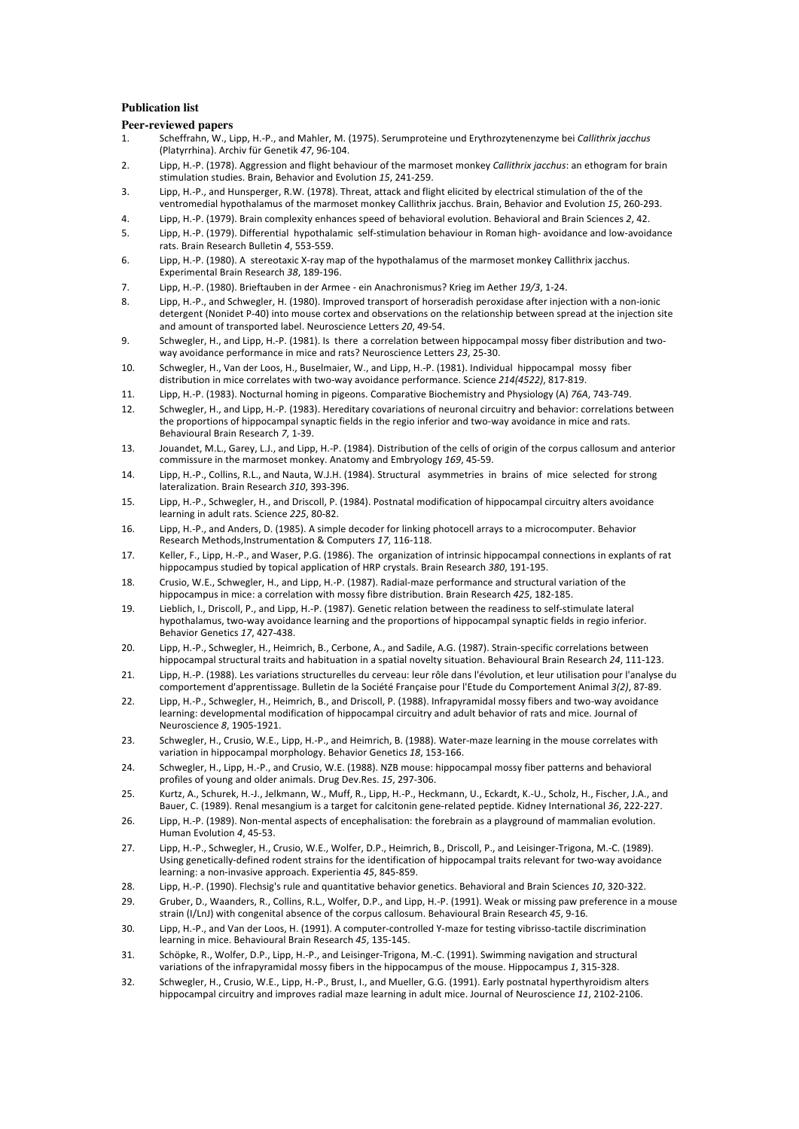## **Publication list**

## **Peer-reviewed papers**

- 1. Scheffrahn, W., Lipp, H.-P., and Mahler, M. (1975). Serumproteine und Erythrozytenenzyme bei *Callithrix jacchus* (Platyrrhina). Archiv für Genetik 47, 96-104.
- 2. Lipp, H.-P. (1978). Aggression and flight behaviour of the marmoset monkey *Callithrix jacchus*: an ethogram for brain stimulation studies. Brain, Behavior and Evolution 15, 241-259.
- 3. Lipp, H.-P., and Hunsperger, R.W. (1978). Threat, attack and flight elicited by electrical stimulation of the of the ventromedial hypothalamus of the marmoset monkey Callithrix jacchus. Brain, Behavior and Evolution 15, 260-293.
- 4. Lipp, H.-P. (1979). Brain complexity enhances speed of behavioral evolution. Behavioral and Brain Sciences 2, 42.
- 5. Lipp, H.-P. (1979). Differential hypothalamic self-stimulation behaviour in Roman high- avoidance and low-avoidance rats.#Brain#Research#Bulletin#*4*,#5532559.
- 6. Lipp, H.-P. (1980). A stereotaxic X-ray map of the hypothalamus of the marmoset monkey Callithrix jacchus. Experimental Brain Research 38, 189-196.
- 7. Lipp, H.-P. (1980). Brieftauben in der Armee ein Anachronismus? Krieg im Aether 19/3, 1-24.
- 8. Lipp, H.-P., and Schwegler, H. (1980). Improved transport of horseradish peroxidase after injection with a non-ionic detergent (Nonidet P-40) into mouse cortex and observations on the relationship between spread at the injection site and amount of transported label. Neuroscience Letters 20, 49-54.
- 9. Schwegler, H., and Lipp, H.-P. (1981). Is there a correlation between hippocampal mossy fiber distribution and twoway avoidance performance in mice and rats? Neuroscience Letters 23, 25-30.
- 10. Schwegler, H., Van der Loos, H., Buselmaier, W., and Lipp, H.-P. (1981). Individual hippocampal mossy fiber distribution in mice correlates with two-way avoidance performance. Science 214(4522), 817-819.
- 11. Lipp, H.-P. (1983). Nocturnal homing in pigeons. Comparative Biochemistry and Physiology (A) 76A, 743-749.
- 12. Schwegler, H., and Lipp, H.-P. (1983). Hereditary covariations of neuronal circuitry and behavior: correlations between the proportions of hippocampal synaptic fields in the regio inferior and two-way avoidance in mice and rats. Behavioural Brain Research 7, 1-39.
- 13. Jouandet, M.L., Garey, L.J., and Lipp, H.-P. (1984). Distribution of the cells of origin of the corpus callosum and anterior commissure in the marmoset monkey. Anatomy and Embryology 169, 45-59.
- 14. Lipp, H.-P., Collins, R.L., and Nauta, W.J.H. (1984). Structural asymmetries in brains of mice selected for strong lateralization. Brain Research 310, 393-396.
- 15. Lipp, H.-P., Schwegler, H., and Driscoll, P. (1984). Postnatal modification of hippocampal circuitry alters avoidance learning in adult rats. Science 225, 80-82.
- 16. Lipp, H.-P., and Anders, D. (1985). A simple decoder for linking photocell arrays to a microcomputer. Behavior Research Methods, Instrumentation & Computers 17, 116-118.
- 17. Keller, F., Lipp, H.-P., and Waser, P.G. (1986). The organization of intrinsic hippocampal connections in explants of rat hippocampus studied by topical application of HRP crystals. Brain Research 380, 191-195.
- 18. Crusio, W.E., Schwegler, H., and Lipp, H.-P. (1987). Radial-maze performance and structural variation of the hippocampus in mice: a correlation with mossy fibre distribution. Brain Research 425, 182-185.
- 19. Lieblich, I., Driscoll, P., and Lipp, H.-P. (1987). Genetic relation between the readiness to self-stimulate lateral hypothalamus, two-way avoidance learning and the proportions of hippocampal synaptic fields in regio inferior. Behavior Genetics 17, 427-438.
- 20. Lipp, H.-P., Schwegler, H., Heimrich, B., Cerbone, A., and Sadile, A.G. (1987). Strain-specific correlations between hippocampal structural traits and habituation in a spatial novelty situation. Behavioural Brain Research 24, 111-123.
- 21. Lipp, H.-P. (1988). Les variations structurelles du cerveau: leur rôle dans l'évolution, et leur utilisation pour l'analyse du comportement d'apprentissage. Bulletin de la Société Française pour l'Etude du Comportement Animal 3(2), 87-89.
- 22. Lipp, H.-P., Schwegler, H., Heimrich, B., and Driscoll, P. (1988). Infrapyramidal mossy fibers and two-way avoidance learning: developmental modification of hippocampal circuitry and adult behavior of rats and mice. Journal of Neuroscience *8*, 1905-1921.
- 23. Schwegler, H., Crusio, W.E., Lipp, H.-P., and Heimrich, B. (1988). Water-maze learning in the mouse correlates with variation in hippocampal morphology. Behavior Genetics 18, 153-166.
- 24. Schwegler, H., Lipp, H.-P., and Crusio, W.E. (1988). NZB mouse: hippocampal mossy fiber patterns and behavioral profiles of young and older animals. Drug Dev.Res. 15, 297-306.
- 25. Kurtz, A., Schurek, H.-J., Jelkmann, W., Muff, R., Lipp, H.-P., Heckmann, U., Eckardt, K.-U., Scholz, H., Fischer, J.A., and Bauer, C. (1989). Renal mesangium is a target for calcitonin gene-related peptide. Kidney International 36, 222-227.
- 26. Lipp, H.-P. (1989). Non-mental aspects of encephalisation: the forebrain as a playground of mammalian evolution. Human Evolution *4*, 45-53.
- 27. Lipp, H.-P., Schwegler, H., Crusio, W.E., Wolfer, D.P., Heimrich, B., Driscoll, P., and Leisinger-Trigona, M.-C. (1989). Using genetically-defined rodent strains for the identification of hippocampal traits relevant for two-way avoidance learning: a non-invasive approach. Experientia 45, 845-859.
- 28. Lipp, H.-P. (1990). Flechsig's rule and quantitative behavior genetics. Behavioral and Brain Sciences 10, 320-322.
- 29. Gruber, D., Waanders, R., Collins, R.L., Wolfer, D.P., and Lipp, H.-P. (1991). Weak or missing paw preference in a mouse strain (I/LnJ) with congenital absence of the corpus callosum. Behavioural Brain Research 45, 9-16.
- 30. Lipp, H.-P., and Van der Loos, H. (1991). A computer-controlled Y-maze for testing vibrisso-tactile discrimination learning in mice. Behavioural Brain Research 45, 135-145.
- 31. Schöpke, R., Wolfer, D.P., Lipp, H.-P., and Leisinger-Trigona, M.-C. (1991). Swimming navigation and structural variations of the infrapyramidal mossy fibers in the hippocampus of the mouse. Hippocampus 1, 315-328.
- 32. Schwegler, H., Crusio, W.E., Lipp, H.-P., Brust, I., and Mueller, G.G. (1991). Early postnatal hyperthyroidism alters hippocampal circuitry and improves radial maze learning in adult mice. Journal of Neuroscience 11, 2102-2106.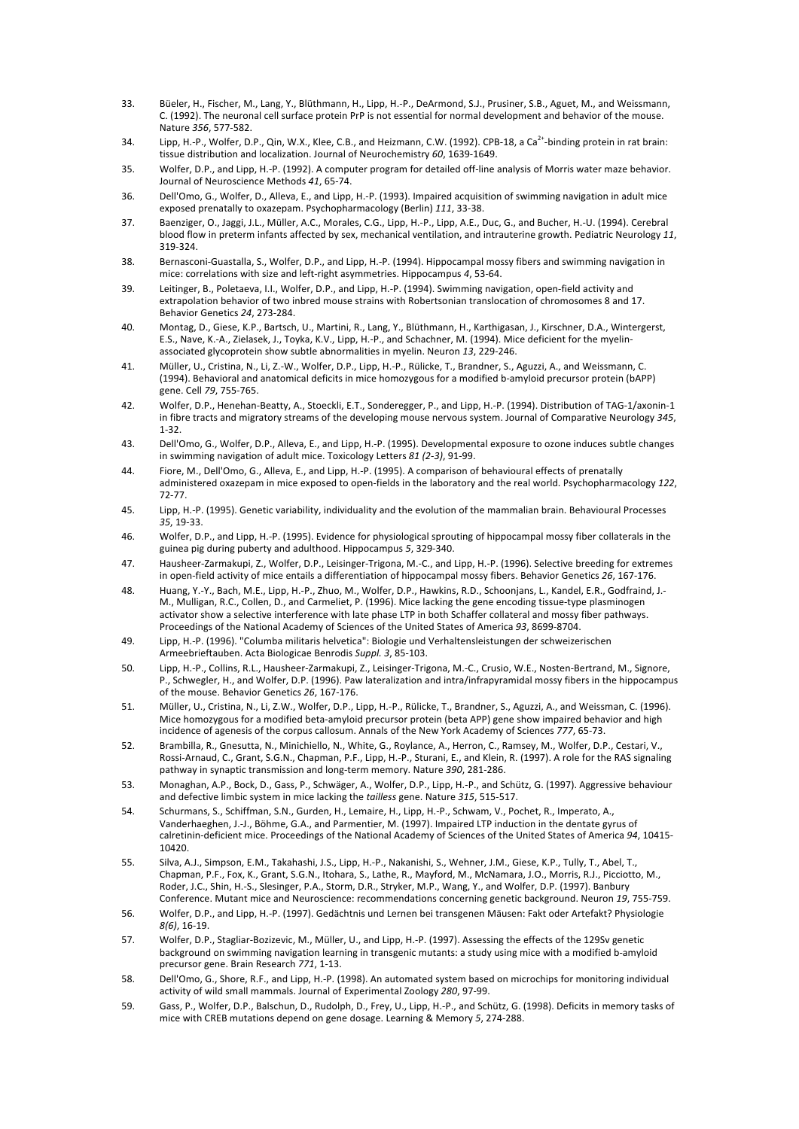- 33. Büeler, H., Fischer, M., Lang, Y., Blüthmann, H., Lipp, H.-P., DeArmond, S.J., Prusiner, S.B., Aguet, M., and Weissmann, C. (1992). The neuronal cell surface protein PrP is not essential for normal development and behavior of the mouse. Nature 356, 577-582.
- 34. Lipp, H.-P., Wolfer, D.P., Qin, W.X., Klee, C.B., and Heizmann, C.W. (1992). CPB-18, a Ca<sup>2+</sup>-binding protein in rat brain: tissue distribution and localization. Journal of Neurochemistry 60, 1639-1649.
- 35. Wolfer, D.P., and Lipp, H.-P. (1992). A computer program for detailed off-line analysis of Morris water maze behavior. Journal of Neuroscience Methods 41, 65-74.
- 36. Dell'Omo, G., Wolfer, D., Alleva, E., and Lipp, H.-P. (1993). Impaired acquisition of swimming navigation in adult mice exposed prenatally to oxazepam. Psychopharmacology (Berlin) 111, 33-38.
- 37. Baenziger, O., Jaggi, J.L., Müller, A.C., Morales, C.G., Lipp, H.-P., Lipp, A.E., Duc, G., and Bucher, H.-U. (1994). Cerebral blood flow in preterm infants affected by sex, mechanical ventilation, and intrauterine growth. Pediatric Neurology 11, 3192324.
- 38. Bernasconi-Guastalla, S., Wolfer, D.P., and Lipp, H.-P. (1994). Hippocampal mossy fibers and swimming navigation in mice: correlations with size and left-right asymmetries. Hippocampus 4, 53-64.
- 39. Leitinger, B., Poletaeva, I.I., Wolfer, D.P., and Lipp, H.-P. (1994). Swimming navigation, open-field activity and extrapolation behavior of two inbred mouse strains with Robertsonian translocation of chromosomes 8 and 17. Behavior#Genetics#*24*,#2732284.
- 40. Montag, D., Giese, K.P., Bartsch, U., Martini, R., Lang, Y., Blüthmann, H., Karthigasan, J., Kirschner, D.A., Wintergerst, E.S., Nave, K.-A., Zielasek, J., Toyka, K.V., Lipp, H.-P., and Schachner, M. (1994). Mice deficient for the myelinassociated glycoprotein show subtle abnormalities in myelin. Neuron 13, 229-246.
- 41. Müller, U., Cristina, N., Li, Z.-W., Wolfer, D.P., Lipp, H.-P., Rülicke, T., Brandner, S., Aguzzi, A., and Weissmann, C. (1994). Behavioral and anatomical deficits in mice homozygous for a modified b-amyloid precursor protein (bAPP) gene. Cell 79, 755-765.
- 42. Wolfer, D.P., Henehan-Beatty, A., Stoeckli, E.T., Sonderegger, P., and Lipp, H.-P. (1994). Distribution of TAG-1/axonin-1 in fibre tracts and migratory streams of the developing mouse nervous system. Journal of Comparative Neurology 345,  $1 - 32$ .
- 43. Dell'Omo, G., Wolfer, D.P., Alleva, E., and Lipp, H.-P. (1995). Developmental exposure to ozone induces subtle changes in swimming navigation of adult mice. Toxicology Letters  $81$  (2-3), 91-99.
- 44. Fiore, M., Dell'Omo, G., Alleva, E., and Lipp, H.-P. (1995). A comparison of behavioural effects of prenatally administered oxazepam in mice exposed to open-fields in the laboratory and the real world. Psychopharmacology 122, 72277.
- 45. Lipp, H.-P. (1995). Genetic variability, individuality and the evolution of the mammalian brain. Behavioural Processes 35, 19-33.
- 46. Wolfer, D.P., and Lipp, H.-P. (1995). Evidence for physiological sprouting of hippocampal mossy fiber collaterals in the guinea pig during puberty and adulthood. Hippocampus 5, 329-340.
- 47. Hausheer-Zarmakupi, Z., Wolfer, D.P., Leisinger-Trigona, M.-C., and Lipp, H.-P. (1996). Selective breeding for extremes in open-field activity of mice entails a differentiation of hippocampal mossy fibers. Behavior Genetics 26, 167-176.
- 48. Huang, Y.-Y., Bach, M.E., Lipp, H.-P., Zhuo, M., Wolfer, D.P., Hawkins, R.D., Schoonjans, L., Kandel, E.R., Godfraind, J.-M., Mulligan, R.C., Collen, D., and Carmeliet, P. (1996). Mice lacking the gene encoding tissue-type plasminogen activator show a selective interference with late phase LTP in both Schaffer collateral and mossy fiber pathways. Proceedings of the National Academy of Sciences of the United States of America 93, 8699-8704.
- 49. Lipp. H.-P. (1996). "Columba militaris helvetica": Biologie und Verhaltensleistungen der schweizerischen Armeebrieftauben. Acta Biologicae Benrodis Suppl. 3, 85-103.
- 50. Lipp, H.-P., Collins, R.L., Hausheer-Zarmakupi, Z., Leisinger-Trigona, M.-C., Crusio, W.E., Nosten-Bertrand, M., Signore, P., Schwegler, H., and Wolfer, D.P. (1996). Paw lateralization and intra/infrapyramidal mossy fibers in the hippocampus of the mouse. Behavior Genetics 26, 167-176.
- 51. Müller, U., Cristina, N., Li, Z.W., Wolfer, D.P., Lipp, H.-P., Rülicke, T., Brandner, S., Aguzzi, A., and Weissman, C. (1996). Mice homozygous for a modified beta-amyloid precursor protein (beta APP) gene show impaired behavior and high incidence of agenesis of the corpus callosum. Annals of the New York Academy of Sciences 777, 65-73.
- 52. Brambilla, R., Gnesutta, N., Minichiello, N., White, G., Roylance, A., Herron, C., Ramsey, M., Wolfer, D.P., Cestari, V., Rossi-Arnaud, C., Grant, S.G.N., Chapman, P.F., Lipp, H.-P., Sturani, E., and Klein, R. (1997). A role for the RAS signaling pathway in synaptic transmission and long-term memory. Nature 390, 281-286.
- 53. Monaghan, A.P., Bock, D., Gass, P., Schwäger, A., Wolfer, D.P., Lipp, H.-P., and Schütz, G. (1997). Aggressive behaviour and defective limbic system in mice lacking the *tailless* gene. Nature 315, 515-517.
- 54. Schurmans, S., Schiffman, S.N., Gurden, H., Lemaire, H., Lipp, H.-P., Schwam, V., Pochet, R., Imperato, A., Vanderhaeghen, J.-J., Böhme, G.A., and Parmentier, M. (1997). Impaired LTP induction in the dentate gyrus of calretinin-deficient mice. Proceedings of the National Academy of Sciences of the United States of America 94, 10415-10420.
- 55. Silva, A.J., Simpson, E.M., Takahashi, J.S., Lipp, H.-P., Nakanishi, S., Wehner, J.M., Giese, K.P., Tully, T., Abel, T., Chapman, P.F., Fox, K., Grant, S.G.N., Itohara, S., Lathe, R., Mayford, M., McNamara, J.O., Morris, R.J., Picciotto, M., Roder, J.C., Shin, H.-S., Slesinger, P.A., Storm, D.R., Stryker, M.P., Wang, Y., and Wolfer, D.P. (1997). Banbury Conference. Mutant mice and Neuroscience: recommendations concerning genetic background. Neuron 19, 755-759.
- 56. Wolfer, D.P., and Lipp, H.-P. (1997). Gedächtnis und Lernen bei transgenen Mäusen: Fakt oder Artefakt? Physiologie  $8(6)$ , 16-19.
- 57. Wolfer, D.P., Stagliar-Bozizevic, M., Müller, U., and Lipp, H.-P. (1997). Assessing the effects of the 129Sv genetic background on swimming navigation learning in transgenic mutants: a study using mice with a modified b-amyloid precursor gene. Brain Research 771, 1-13.
- 58. Dell'Omo, G., Shore, R.F., and Lipp, H.-P. (1998). An automated system based on microchips for monitoring individual activity of wild small mammals. Journal of Experimental Zoology 280, 97-99.
- 59. Gass, P., Wolfer, D.P., Balschun, D., Rudolph, D., Frey, U., Lipp, H.-P., and Schütz, G. (1998). Deficits in memory tasks of mice with CREB mutations depend on gene dosage. Learning & Memory 5, 274-288.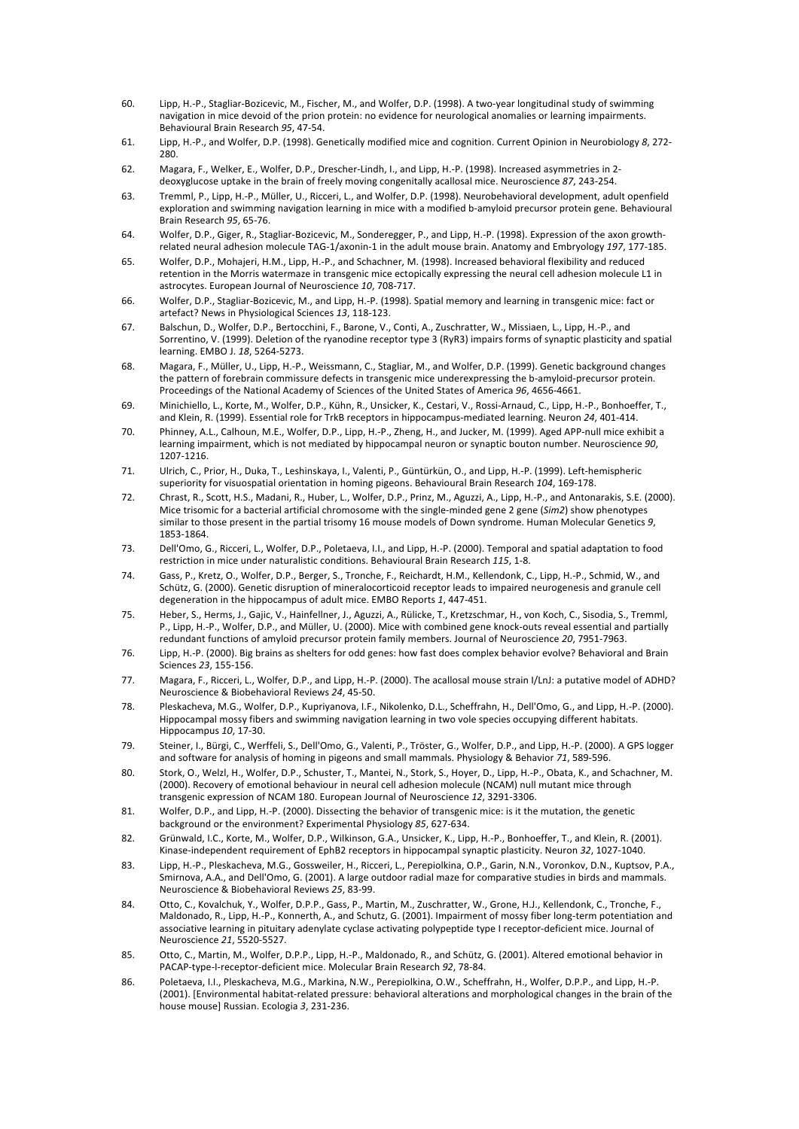- 60. Lipp, H.-P., Stagliar-Bozicevic, M., Fischer, M., and Wolfer, D.P. (1998). A two-vear longitudinal study of swimming navigation in mice devoid of the prion protein: no evidence for neurological anomalies or learning impairments. Behavioural Brain Research 95, 47-54.
- 61. Lipp, H.-P., and Wolfer, D.P. (1998). Genetically modified mice and cognition. Current Opinion in Neurobiology 8, 272-280.
- 62. Magara, F., Welker, E., Wolfer, D.P., Drescher-Lindh, I., and Lipp, H.-P. (1998). Increased asymmetries in 2deoxyglucose uptake in the brain of freely moving congenitally acallosal mice. Neuroscience 87, 243-254.
- 63. Tremml, P., Lipp, H.-P., Müller, U., Ricceri, L., and Wolfer, D.P. (1998). Neurobehavioral development, adult openfield exploration and swimming navigation learning in mice with a modified b-amyloid precursor protein gene. Behavioural Brain#Research#*95*,#65276.
- 64. Wolfer, D.P., Giger, R., Stagliar-Bozicevic, M., Sonderegger, P., and Lipp, H.-P. (1998). Expression of the axon growthrelated neural adhesion molecule TAG-1/axonin-1 in the adult mouse brain. Anatomy and Embryology 197, 177-185.
- 65. Wolfer, D.P., Mohajeri, H.M., Lipp, H.-P., and Schachner, M. (1998). Increased behavioral flexibility and reduced retention in the Morris watermaze in transgenic mice ectopically expressing the neural cell adhesion molecule L1 in astrocytes. European Journal of Neuroscience 10, 708-717.
- 66. Wolfer, D.P., Stagliar-Bozicevic, M., and Lipp, H.-P. (1998). Spatial memory and learning in transgenic mice: fact or artefact? News in Physiological Sciences 13, 118-123.
- 67. Balschun, D., Wolfer, D.P., Bertocchini, F., Barone, V., Conti, A., Zuschratter, W., Missiaen, L., Lipp, H.-P., and Sorrentino, V. (1999). Deletion of the ryanodine receptor type 3 (RyR3) impairs forms of synaptic plasticity and spatial learning. EMBO J. 18, 5264-5273.
- 68. Magara, F., Müller, U., Lipp, H.-P., Weissmann, C., Stagliar, M., and Wolfer, D.P. (1999). Genetic background changes the pattern of forebrain commissure defects in transgenic mice underexpressing the b-amyloid-precursor protein. Proceedings of the National Academy of Sciences of the United States of America 96, 4656-4661.
- 69. Minichiello, L., Korte, M., Wolfer, D.P., Kühn, R., Unsicker, K., Cestari, V., Rossi-Arnaud, C., Lipp, H.-P., Bonhoeffer, T., and Klein, R. (1999). Essential role for TrkB receptors in hippocampus-mediated learning. Neuron 24, 401-414.
- 70. Phinney, A.L., Calhoun, M.E., Wolfer, D.P., Lipp, H.-P., Zheng, H., and Jucker, M. (1999). Aged APP-null mice exhibit a learning impairment, which is not mediated by hippocampal neuron or synaptic bouton number. Neuroscience 90, 1207-1216.
- 71. Ulrich, C., Prior, H., Duka, T., Leshinskaya, I., Valenti, P., Güntürkün, O., and Lipp, H.-P. (1999). Left-hemispheric superiority for visuospatial orientation in homing pigeons. Behavioural Brain Research 104, 169-178.
- 72. Chrast, R., Scott, H.S., Madani, R., Huber, L., Wolfer, D.P., Prinz, M., Aguzzi, A., Lipp, H.-P., and Antonarakis, S.E. (2000). Mice trisomic for a bacterial artificial chromosome with the single-minded gene 2 gene (*Sim2*) show phenotypes similar to those present in the partial trisomy 16 mouse models of Down syndrome. Human Molecular Genetics 9, 1853-1864.
- 73. Dell'Omo, G., Ricceri, L., Wolfer, D.P., Poletaeva, I.I., and Lipp, H.-P. (2000). Temporal and spatial adaptation to food restriction in mice under naturalistic conditions. Behavioural Brain Research 115, 1-8.
- 74. Gass, P., Kretz, O., Wolfer, D.P., Berger, S., Tronche, F., Reichardt, H.M., Kellendonk, C., Lipp, H.-P., Schmid, W., and Schütz, G. (2000). Genetic disruption of mineralocorticoid receptor leads to impaired neurogenesis and granule cell degeneration in the hippocampus of adult mice. EMBO Reports 1, 447-451.
- 75. Heber, S., Herms, J., Gajic, V., Hainfellner, J., Aguzzi, A., Rülicke, T., Kretzschmar, H., von Koch, C., Sisodia, S., Tremml, P., Lipp, H.-P., Wolfer, D.P., and Müller, U. (2000). Mice with combined gene knock-outs reveal essential and partially redundant functions of amyloid precursor protein family members. Journal of Neuroscience 20, 7951-7963.
- 76. Lipp, H.-P. (2000). Big brains as shelters for odd genes: how fast does complex behavior evolve? Behavioral and Brain Sciences 23, 155-156.
- 77. Magara, F., Ricceri, L., Wolfer, D.P., and Lipp, H.-P. (2000). The acallosal mouse strain I/LnJ: a putative model of ADHD? Neuroscience & Biobehavioral Reviews 24, 45-50.
- 78. Pleskacheva, M.G., Wolfer, D.P., Kupriyanova, I.F., Nikolenko, D.L., Scheffrahn, H., Dell'Omo, G., and Lipp, H.-P. (2000). Hippocampal mossy fibers and swimming navigation learning in two vole species occupying different habitats. Hippocampus 10, 17-30.
- 79. Steiner, I., Bürgi, C., Werffeli, S., Dell'Omo, G., Valenti, P., Tröster, G., Wolfer, D.P., and Lipp, H.-P. (2000). A GPS logger and software for analysis of homing in pigeons and small mammals. Physiology & Behavior 71, 589-596.
- 80. Stork, O., Welzl, H., Wolfer, D.P., Schuster, T., Mantei, N., Stork, S., Hoyer, D., Lipp, H.-P., Obata, K., and Schachner, M. (2000). Recovery of emotional behaviour in neural cell adhesion molecule (NCAM) null mutant mice through transgenic expression of NCAM 180. European Journal of Neuroscience 12, 3291-3306.
- 81. Wolfer, D.P., and Lipp, H.-P. (2000). Dissecting the behavior of transgenic mice: is it the mutation, the genetic background or the environment? Experimental Physiology 85, 627-634.
- 82. Grünwald, I.C., Korte, M., Wolfer, D.P., Wilkinson, G.A., Unsicker, K., Lipp, H.-P., Bonhoeffer, T., and Klein, R. (2001). Kinase-independent requirement of EphB2 receptors in hippocampal synaptic plasticity. Neuron 32, 1027-1040.
- 83. Lipp, H.-P., Pleskacheva, M.G., Gossweiler, H., Ricceri, L., Perepiolkina, O.P., Garin, N.N., Voronkov, D.N., Kuptsov, P.A., Smirnova, A.A., and Dell'Omo, G. (2001). A large outdoor radial maze for comparative studies in birds and mammals. Neuroscience & Biobehavioral Reviews 25, 83-99.
- 84. Otto, C., Kovalchuk, Y., Wolfer, D.P.P., Gass, P., Martin, M., Zuschratter, W., Grone, H.J., Kellendonk, C., Tronche, F., Maldonado, R., Lipp, H.-P., Konnerth, A., and Schutz, G. (2001). Impairment of mossy fiber long-term potentiation and associative learning in pituitary adenylate cyclase activating polypeptide type I receptor-deficient mice. Journal of Neuroscience 21, 5520-5527.
- 85. Otto, C., Martin, M., Wolfer, D.P.P., Lipp, H.-P., Maldonado, R., and Schütz, G. (2001). Altered emotional behavior in PACAP-type-I-receptor-deficient mice. Molecular Brain Research 92, 78-84.
- 86. Poletaeva, I.I., Pleskacheva, M.G., Markina, N.W., Perepiolkina, O.W., Scheffrahn, H., Wolfer, D.P.P., and Lipp, H.-P. (2001). [Environmental habitat-related pressure: behavioral alterations and morphological changes in the brain of the house mouse] Russian. Ecologia 3, 231-236.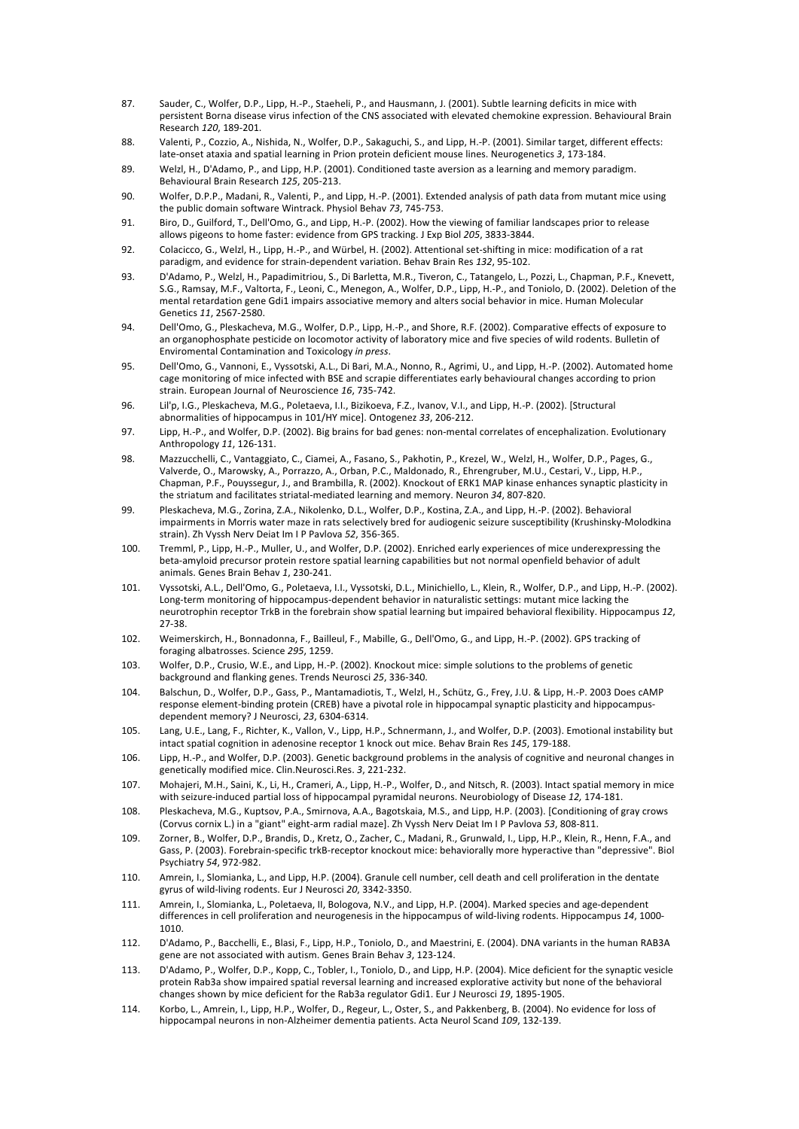- 87. Sauder, C., Wolfer, D.P., Lipp, H.-P., Staeheli, P., and Hausmann, J. (2001). Subtle learning deficits in mice with persistent Borna disease virus infection of the CNS associated with elevated chemokine expression. Behavioural Brain Research 120, 189-201.
- 88. Valenti, P., Cozzio, A., Nishida, N., Wolfer, D.P., Sakaguchi, S., and Lipp, H.-P. (2001). Similar target, different effects: late-onset ataxia and spatial learning in Prion protein deficient mouse lines. Neurogenetics 3, 173-184.
- 89. Welzl, H., D'Adamo, P., and Lipp, H.P. (2001). Conditioned taste aversion as a learning and memory paradigm. Behavioural Brain Research 125, 205-213.
- 90. Wolfer, D.P.P., Madani, R., Valenti, P., and Lipp, H.-P. (2001). Extended analysis of path data from mutant mice using the public domain software Wintrack. Physiol Behav 73, 745-753.
- 91. Biro, D., Guilford, T., Dell'Omo, G., and Lipp, H.-P. (2002). How the viewing of familiar landscapes prior to release allows pigeons to home faster: evidence from GPS tracking. J Exp Biol 205, 3833-3844.
- 92. Colacicco, G., Welzl, H., Lipp, H.-P., and Würbel, H. (2002). Attentional set-shifting in mice: modification of a rat paradigm, and evidence for strain-dependent variation. Behav Brain Res 132, 95-102.
- 93. D'Adamo, P., Welzl, H., Papadimitriou, S., Di Barletta, M.R., Tiveron, C., Tatangelo, L., Pozzi, L., Chapman, P.F., Knevett, S.G., Ramsay, M.F., Valtorta, F., Leoni, C., Menegon, A., Wolfer, D.P., Lipp, H.-P., and Toniolo, D. (2002). Deletion of the mental retardation gene Gdi1 impairs associative memory and alters social behavior in mice. Human Molecular Genetics 11, 2567-2580.
- 94. Dell'Omo, G., Pleskacheva, M.G., Wolfer, D.P., Lipp, H.-P., and Shore, R.F. (2002). Comparative effects of exposure to an organophosphate pesticide on locomotor activity of laboratory mice and five species of wild rodents. Bulletin of Enviromental Contamination and Toxicology *in press.*
- 95. Dell'Omo, G., Vannoni, E., Vyssotski, A.L., Di Bari, M.A., Nonno, R., Agrimi, U., and Lipp, H.-P. (2002). Automated home cage monitoring of mice infected with BSE and scrapie differentiates early behavioural changes according to prion strain. European Journal of Neuroscience 16, 735-742.
- 96. Lil'p, I.G., Pleskacheva, M.G., Poletaeva, I.I., Bizikoeva, F.Z., Ivanov, V.I., and Lipp, H.-P. (2002). [Structural abnormalities of hippocampus in 101/HY mice]. Ontogenez 33, 206-212.
- 97. Lipp, H.-P., and Wolfer, D.P. (2002). Big brains for bad genes: non-mental correlates of encephalization. Evolutionary Anthropology 11, 126-131.
- 98. Mazzucchelli, C., Vantaggiato, C., Ciamei, A., Fasano, S., Pakhotin, P., Krezel, W., Welzl, H., Wolfer, D.P., Pages, G., Valverde, O., Marowsky, A., Porrazzo, A., Orban, P.C., Maldonado, R., Ehrengruber, M.U., Cestari, V., Lipp, H.P., Chapman, P.F., Pouyssegur, J., and Brambilla, R. (2002). Knockout of ERK1 MAP kinase enhances synaptic plasticity in the striatum and facilitates striatal-mediated learning and memory. Neuron 34, 807-820.
- 99. Pleskacheva, M.G., Zorina, Z.A., Nikolenko, D.L., Wolfer, D.P., Kostina, Z.A., and Lipp, H.-P. (2002). Behavioral impairments in Morris water maze in rats selectively bred for audiogenic seizure susceptibility (Krushinsky-Molodkina strain). Zh Vyssh Nerv Deiat Im I P Pavlova 52, 356-365.
- 100. Tremml, P., Lipp, H.-P., Muller, U., and Wolfer, D.P. (2002). Enriched early experiences of mice underexpressing the beta-amyloid precursor protein restore spatial learning capabilities but not normal openfield behavior of adult animals.#Genes#Brain#Behav#*1*,#2302241.
- 101. Vyssotski, A.L., Dell'Omo, G., Poletaeva, I.I., Vyssotski, D.L., Minichiello, L., Klein, R., Wolfer, D.P., and Lipp, H.-P. (2002). Long-term monitoring of hippocampus-dependent behavior in naturalistic settings: mutant mice lacking the neurotrophin receptor TrkB in the forebrain show spatial learning but impaired behavioral flexibility. Hippocampus 12, 27-38.
- 102. Weimerskirch, H., Bonnadonna, F., Bailleul, F., Mabille, G., Dell'Omo, G., and Lipp, H.-P. (2002). GPS tracking of foraging albatrosses. Science 295, 1259.
- 103. Wolfer, D.P., Crusio, W.E., and Lipp, H.-P. (2002). Knockout mice: simple solutions to the problems of genetic background and flanking genes. Trends Neurosci 25, 336-340.
- 104. Balschun, D., Wolfer, D.P., Gass, P., Mantamadiotis, T., Welzl, H., Schütz, G., Frey, J.U. & Lipp, H.-P. 2003 Does cAMP response element-binding protein (CREB) have a pivotal role in hippocampal synaptic plasticity and hippocampusdependent memory? J Neurosci, 23, 6304-6314.
- 105. Lang, U.E., Lang, F., Richter, K., Vallon, V., Lipp, H.P., Schnermann, J., and Wolfer, D.P. (2003). Emotional instability but intact spatial cognition in adenosine receptor 1 knock out mice. Behav Brain Res 145, 179-188.
- 106. Lipp, H.-P., and Wolfer, D.P. (2003). Genetic background problems in the analysis of cognitive and neuronal changes in genetically modified mice. Clin.Neurosci.Res. 3, 221-232.
- 107. Mohajeri, M.H., Saini, K., Li, H., Crameri, A., Lipp, H.-P., Wolfer, D., and Nitsch, R. (2003). Intact spatial memory in mice with seizure-induced partial loss of hippocampal pyramidal neurons. Neurobiology of Disease 12, 174-181.
- 108. Pleskacheva, M.G., Kuptsov, P.A., Smirnova, A.A., Bagotskaia, M.S., and Lipp, H.P. (2003). [Conditioning of gray crows (Corvus cornix L.) in a "giant" eight-arm radial maze]. Zh Vyssh Nerv Deiat Im I P Pavlova 53, 808-811.
- 109. Zorner, B., Wolfer, D.P., Brandis, D., Kretz, O., Zacher, C., Madani, R., Grunwald, I., Lipp, H.P., Klein, R., Henn, F.A., and Gass, P. (2003). Forebrain-specific trkB-receptor knockout mice: behaviorally more hyperactive than "depressive". Biol Psychiatry 54, 972-982.
- 110. Amrein, I., Slomianka, L., and Lipp, H.P. (2004). Granule cell number, cell death and cell proliferation in the dentate gyrus of wild-living rodents. Eur J Neurosci 20, 3342-3350.
- 111. Amrein, I., Slomianka, L., Poletaeva, II, Bologova, N.V., and Lipp, H.P. (2004). Marked species and age-dependent differences in cell proliferation and neurogenesis in the hippocampus of wild-living rodents. Hippocampus 14, 1000-1010.
- 112. D'Adamo, P., Bacchelli, E., Blasi, F., Lipp, H.P., Toniolo, D., and Maestrini, E. (2004). DNA variants in the human RAB3A gene are not associated with autism. Genes Brain Behav 3, 123-124.
- 113. D'Adamo, P., Wolfer, D.P., Kopp, C., Tobler, I., Toniolo, D., and Lipp, H.P. (2004). Mice deficient for the synaptic vesicle protein Rab3a show impaired spatial reversal learning and increased explorative activity but none of the behavioral changes shown by mice deficient for the Rab3a regulator Gdi1. Eur J Neurosci 19, 1895-1905.
- 114. Korbo, L., Amrein, I., Lipp, H.P., Wolfer, D., Regeur, L., Oster, S., and Pakkenberg, B. (2004). No evidence for loss of hippocampal neurons in non-Alzheimer dementia patients. Acta Neurol Scand 109, 132-139.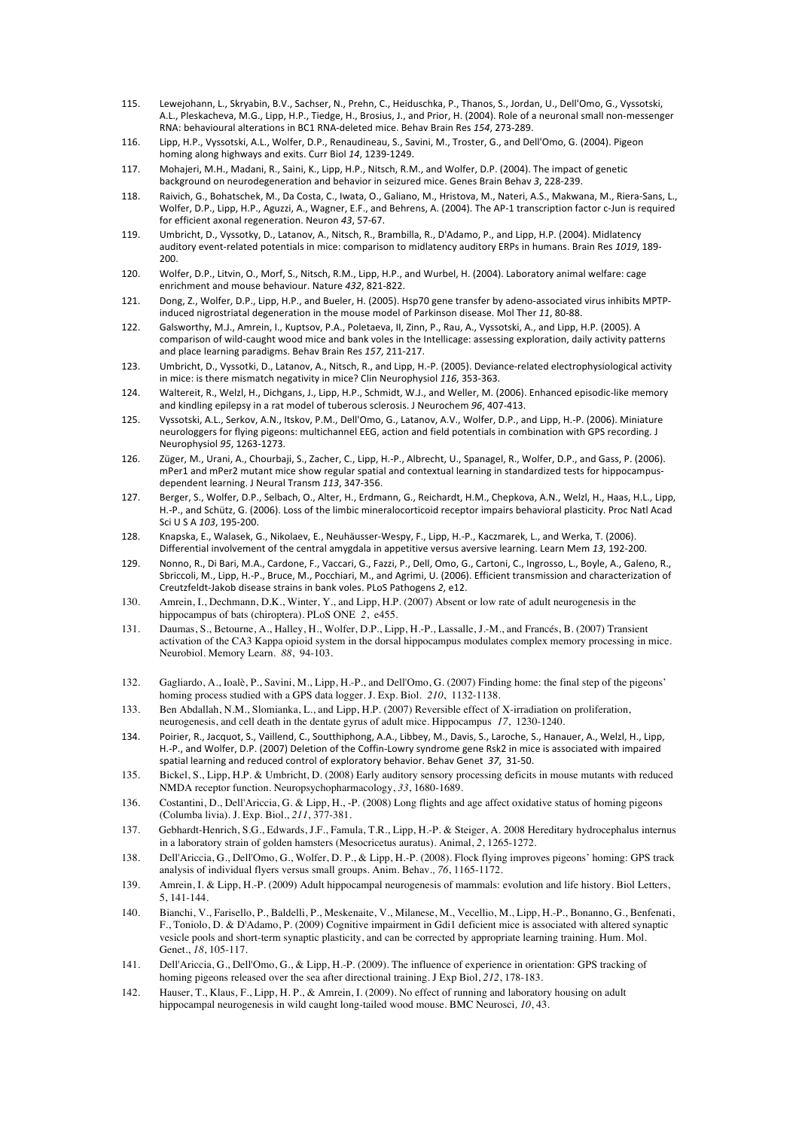- 115. Lewejohann, L., Skryabin, B.V., Sachser, N., Prehn, C., Heiduschka, P., Thanos, S., Jordan, U., Dell'Omo, G., Vyssotski, A.L., Pleskacheva, M.G., Lipp, H.P., Tiedge, H., Brosius, J., and Prior, H. (2004). Role of a neuronal small non-messenger RNA: behavioural alterations in BC1 RNA-deleted mice. Behav Brain Res 154, 273-289.
- 116. Lipp, H.P., Vyssotski, A.L., Wolfer, D.P., Renaudineau, S., Savini, M., Troster, G., and Dell'Omo, G. (2004). Pigeon homing along highways and exits. Curr Biol 14, 1239-1249.
- 117. Mohajeri, M.H., Madani, R., Saini, K., Lipp, H.P., Nitsch, R.M., and Wolfer, D.P. (2004). The impact of genetic background on neurodegeneration and behavior in seizured mice. Genes Brain Behav 3, 228-239.
- 118. Raivich, G., Bohatschek, M., Da Costa, C., Iwata, O., Galiano, M., Hristova, M., Nateri, A.S., Makwana, M., Riera-Sans, L., Wolfer, D.P., Lipp, H.P., Aguzzi, A., Wagner, E.F., and Behrens, A. (2004). The AP-1 transcription factor c-Jun is required for efficient axonal regeneration. Neuron 43, 57-67.
- 119. Umbricht, D., Vyssotky, D., Latanov, A., Nitsch, R., Brambilla, R., D'Adamo, P., and Lipp, H.P. (2004). Midlatency auditory event-related potentials in mice: comparison to midlatency auditory ERPs in humans. Brain Res 1019, 189-200.
- 120. Wolfer, D.P., Litvin, O., Morf, S., Nitsch, R.M., Lipp, H.P., and Wurbel, H. (2004). Laboratory animal welfare: cage enrichment and mouse behaviour. Nature 432, 821-822.
- 121. Dong, Z., Wolfer, D.P., Lipp, H.P., and Bueler, H. (2005). Hsp70 gene transfer by adeno-associated virus inhibits MPTPinduced nigrostriatal degeneration in the mouse model of Parkinson disease. Mol Ther 11, 80-88.
- 122. Galsworthy, M.J., Amrein, I., Kuptsov, P.A., Poletaeva, II, Zinn, P., Rau, A., Vyssotski, A., and Lipp, H.P. (2005). A comparison of wild-caught wood mice and bank voles in the Intellicage: assessing exploration, daily activity patterns and place learning paradigms. Behav Brain Res 157, 211-217.
- 123. Umbricht, D., Vyssotki, D., Latanov, A., Nitsch, R., and Lipp, H.-P. (2005). Deviance-related electrophysiological activity in mice: is there mismatch negativity in mice? Clin Neurophysiol 116, 353-363.
- 124. Waltereit, R., Welzl, H., Dichgans, J., Lipp, H.P., Schmidt, W.J., and Weller, M. (2006). Enhanced episodic-like memory and kindling epilepsy in a rat model of tuberous sclerosis. J Neurochem 96, 407-413.
- 125. Vyssotski, A.L., Serkov, A.N., Itskov, P.M., Dell'Omo, G., Latanov, A.V., Wolfer, D.P., and Lipp, H.-P. (2006). Miniature neurologgers for flying pigeons: multichannel EEG, action and field potentials in combination with GPS recording. J Neurophysiol 95, 1263-1273.
- 126. Züger, M., Urani, A., Chourbaji, S., Zacher, C., Lipp, H.-P., Albrecht, U., Spanagel, R., Wolfer, D.P., and Gass, P. (2006). mPer1 and mPer2 mutant mice show regular spatial and contextual learning in standardized tests for hippocampusdependent learning. J Neural Transm 113, 347-356.
- 127. Berger, S., Wolfer, D.P., Selbach, O., Alter, H., Erdmann, G., Reichardt, H.M., Chepkova, A.N., Welzl, H., Haas, H.L., Lipp, H.-P., and Schütz, G. (2006). Loss of the limbic mineralocorticoid receptor impairs behavioral plasticity. Proc Natl Acad Sci U S A 103, 195-200.
- 128. Knapska, E., Walasek, G., Nikolaev, E., Neuhäusser-Wespy, F., Lipp, H.-P., Kaczmarek, L., and Werka, T. (2006). Differential involvement of the central amygdala in appetitive versus aversive learning. Learn Mem 13, 192-200.
- 129. Nonno, R., Di Bari, M.A., Cardone, F., Vaccari, G., Fazzi, P., Dell, Omo, G., Cartoni, C., Ingrosso, L., Boyle, A., Galeno, R., Sbriccoli, M., Lipp, H.-P., Bruce, M., Pocchiari, M., and Agrimi, U. (2006). Efficient transmission and characterization of Creutzfeldt-Jakob disease strains in bank voles. PLoS Pathogens 2, e12.
- 130. Amrein, I., Dechmann, D.K., Winter, Y., and Lipp, H.P. (2007) Absent or low rate of adult neurogenesis in the hippocampus of bats (chiroptera). PLoS ONE *2*, e455.
- 131. Daumas, S., Betourne, A., Halley, H., Wolfer, D.P., Lipp, H.-P., Lassalle, J.-M., and Francés, B. (2007) Transient activation of the CA3 Kappa opioid system in the dorsal hippocampus modulates complex memory processing in mice. Neurobiol. Memory Learn. *88*, 94-103.
- 132. Gagliardo, A., Ioalè, P., Savini, M., Lipp, H.-P., and Dell'Omo, G. (2007) Finding home: the final step of the pigeons' homing process studied with a GPS data logger. J. Exp. Biol. *210*, 1132-1138.
- 133. Ben Abdallah, N.M., Slomianka, L., and Lipp, H.P. (2007) Reversible effect of X-irradiation on proliferation, neurogenesis, and cell death in the dentate gyrus of adult mice. Hippocampus *17*, 1230-1240.
- 134. Poirier, R., Jacquot, S., Vaillend, C., Soutthiphong, A.A., Libbey, M., Davis, S., Laroche, S., Hanauer, A., Welzl, H., Lipp, H.-P., and Wolfer, D.P. (2007) Deletion of the Coffin-Lowry syndrome gene Rsk2 in mice is associated with impaired spatial learning and reduced control of exploratory behavior. Behav Genet 37, 31-50.
- 135. Bickel, S., Lipp, H.P. & Umbricht, D. (2008) Early auditory sensory processing deficits in mouse mutants with reduced NMDA receptor function. Neuropsychopharmacology, *33*, 1680-1689.
- 136. Costantini, D., Dell'Ariccia, G. & Lipp, H., -P. (2008) Long flights and age affect oxidative status of homing pigeons (Columba livia). J. Exp. Biol., *211*, 377-381.
- 137. Gebhardt-Henrich, S.G., Edwards, J.F., Famula, T.R., Lipp, H.-P. & Steiger, A. 2008 Hereditary hydrocephalus internus in a laboratory strain of golden hamsters (Mesocricetus auratus). Animal, *2*, 1265-1272.
- 138. Dell'Ariccia, G., Dell'Omo, G., Wolfer, D. P., & Lipp, H.-P. (2008). Flock flying improves pigeons' homing: GPS track analysis of individual flyers versus small groups. Anim. Behav*., 76*, 1165-1172.
- 139. Amrein, I. & Lipp, H.-P. (2009) Adult hippocampal neurogenesis of mammals: evolution and life history. Biol Letters, 5, 141-144.
- 140. Bianchi, V., Farisello, P., Baldelli, P., Meskenaite, V., Milanese, M., Vecellio, M., Lipp, H.-P., Bonanno, G., Benfenati, F., Toniolo, D. & D'Adamo, P. (2009) Cognitive impairment in Gdi1 deficient mice is associated with altered synaptic vesicle pools and short-term synaptic plasticity, and can be corrected by appropriate learning training. Hum. Mol. Genet., *18*, 105-117.
- 141. Dell'Ariccia, G., Dell'Omo, G., & Lipp, H.-P. (2009). The influence of experience in orientation: GPS tracking of homing pigeons released over the sea after directional training. J Exp Biol, *212*, 178-183.
- 142. Hauser, T., Klaus, F., Lipp, H. P., & Amrein, I. (2009). No effect of running and laboratory housing on adult hippocampal neurogenesis in wild caught long-tailed wood mouse. BMC Neurosci*, 10*, 43.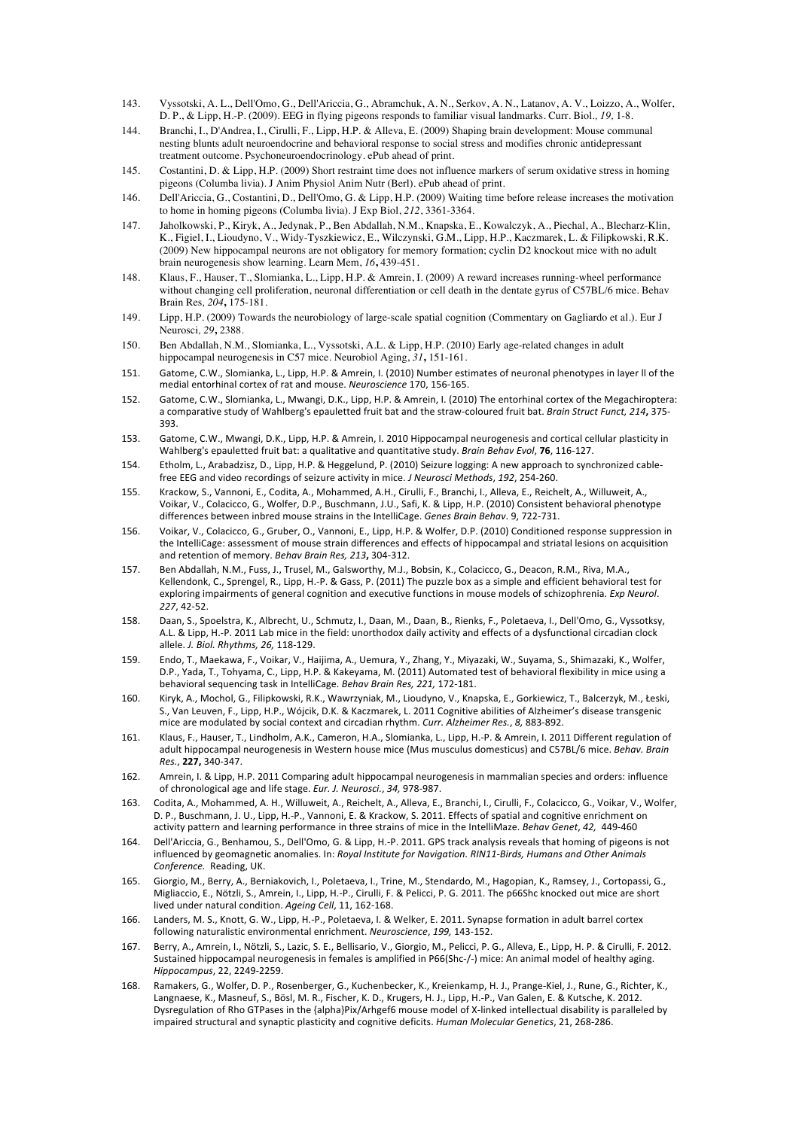- 143. Vyssotski, A. L., Dell'Omo, G., Dell'Ariccia, G., Abramchuk, A. N., Serkov, A. N., Latanov, A. V., Loizzo, A., Wolfer, D. P., & Lipp, H.-P. (2009). EEG in flying pigeons responds to familiar visual landmarks. Curr. Biol*., 19,* 1-8.
- 144. Branchi, I., D'Andrea, I., Cirulli, F., Lipp, H.P. & Alleva, E. (2009) Shaping brain development: Mouse communal nesting blunts adult neuroendocrine and behavioral response to social stress and modifies chronic antidepressant treatment outcome. Psychoneuroendocrinology. ePub ahead of print.
- 145. Costantini, D. & Lipp, H.P. (2009) Short restraint time does not influence markers of serum oxidative stress in homing pigeons (Columba livia). J Anim Physiol Anim Nutr (Berl). ePub ahead of print.
- 146. Dell'Ariccia, G., Costantini, D., Dell'Omo, G. & Lipp, H.P. (2009) Waiting time before release increases the motivation to home in homing pigeons (Columba livia). J Exp Biol, *212*, 3361-3364.
- 147. Jaholkowski, P., Kiryk, A., Jedynak, P., Ben Abdallah, N.M., Knapska, E., Kowalczyk, A., Piechal, A., Blecharz-Klin, K., Figiel, I., Lioudyno, V., Widy-Tyszkiewicz, E., Wilczynski, G.M., Lipp, H.P., Kaczmarek, L. & Filipkowski, R.K. (2009) New hippocampal neurons are not obligatory for memory formation; cyclin D2 knockout mice with no adult brain neurogenesis show learning. Learn Mem, *16***,** 439-451.
- 148. Klaus, F., Hauser, T., Slomianka, L., Lipp, H.P. & Amrein, I. (2009) A reward increases running-wheel performance without changing cell proliferation, neuronal differentiation or cell death in the dentate gyrus of C57BL/6 mice. Behav Brain Res*, 204***,** 175-181.
- 149. Lipp, H.P. (2009) Towards the neurobiology of large-scale spatial cognition (Commentary on Gagliardo et al.). Eur J Neurosci*, 29***,** 2388.
- 150. Ben Abdallah, N.M., Slomianka, L., Vyssotski, A.L. & Lipp, H.P. (2010) Early age-related changes in adult hippocampal neurogenesis in C57 mice. Neurobiol Aging, *31***,** 151-161.
- 151. Gatome, C.W., Slomianka, L., Lipp, H.P. & Amrein, I. (2010) Number estimates of neuronal phenotypes in layer ll of the medial entorhinal cortex of rat and mouse. *Neuroscience* 170, 156-165.
- 152. Gatome, C.W., Slomianka, L., Mwangi, D.K., Lipp, H.P. & Amrein, I. (2010) The entorhinal cortex of the Megachiroptera: a comparative study of Wahlberg's epauletted fruit bat and the straw-coloured fruit bat. *Brain Struct Funct, 214*, 375-393.
- 153. Gatome, C.W., Mwangi, D.K., Lipp, H.P. & Amrein, I. 2010 Hippocampal neurogenesis and cortical cellular plasticity in Wahlberg's epauletted fruit bat: a qualitative and quantitative study. *Brain Behav Evol*, 76, 116-127.
- 154. Etholm, L., Arabadzisz, D., Lipp, H.P. & Heggelund, P. (2010) Seizure logging: A new approach to synchronized cablefree EEG and video recordings of seizure activity in mice. *J Neurosci Methods*, 192, 254-260.
- 155. Krackow, S., Vannoni, E., Codita, A., Mohammed, A.H., Cirulli, F., Branchi, I., Alleva, E., Reichelt, A., Willuweit, A., Voikar, V., Colacicco, G., Wolfer, D.P., Buschmann, J.U., Safi, K. & Lipp, H.P. (2010) Consistent behavioral phenotype differences between inbred mouse strains in the IntelliCage. *Genes Brain Behav*. 9, 722-731.
- 156. Voikar, V., Colacicco, G., Gruber, O., Vannoni, E., Lipp, H.P. & Wolfer, D.P. (2010) Conditioned response suppression in the IntelliCage: assessment of mouse strain differences and effects of hippocampal and striatal lesions on acquisition and retention of memory. Behav Brain Res, 213, 304-312.
- 157. Ben Abdallah, N.M., Fuss, J., Trusel, M., Galsworthy, M.J., Bobsin, K., Colacicco, G., Deacon, R.M., Riva, M.A., Kellendonk, C., Sprengel, R., Lipp, H.-P. & Gass, P. (2011) The puzzle box as a simple and efficient behavioral test for exploring impairments of general cognition and executive functions in mouse models of schizophrenia. *Exp Neurol*. *227*,#42252.
- 158. Daan, S., Spoelstra, K., Albrecht, U., Schmutz, I., Daan, M., Daan, B., Rienks, F., Poletaeva, I., Dell'Omo, G., Vyssotksy, A.L. & Lipp, H.-P. 2011 Lab mice in the field: unorthodox daily activity and effects of a dysfunctional circadian clock allele. *J. Biol. Rhythms, 26, 118-129.*
- 159. Endo, T., Maekawa, F., Voikar, V., Haijima, A., Uemura, Y., Zhang, Y., Miyazaki, W., Suyama, S., Shimazaki, K., Wolfer, D.P., Yada, T., Tohyama, C., Lipp, H.P. & Kakeyama, M. (2011) Automated test of behavioral flexibility in mice using a behavioral sequencing task in IntelliCage. Behav Brain Res, 221, 172-181.
- 160. Kiryk, A., Mochol, G., Filipkowski, R.K., Wawrzyniak, M., Lioudyno, V., Knapska, E., Gorkiewicz, T., Balcerzyk, M., Łeski, S., Van Leuven, F., Lipp, H.P., Wójcik, D.K. & Kaczmarek, L. 2011 Cognitive abilities of Alzheimer's disease transgenic mice are modulated by social context and circadian rhythm. *Curr. Alzheimer Res.*, *8*, 883-892.
- 161. Klaus, F., Hauser, T., Lindholm, A.K., Cameron, H.A., Slomianka, L., Lipp, H.-P. & Amrein, I. 2011 Different regulation of adult hippocampal neurogenesis in Western house mice (Mus musculus domesticus) and C57BL/6 mice. *Behav. Brain Res.*,#**227,\$**3402347.
- 162. Amrein, I. & Lipp, H.P. 2011 Comparing adult hippocampal neurogenesis in mammalian species and orders: influence of chronological age and life stage. *Eur. J. Neurosci.*, 34, 978-987.
- 163. Codita, A., Mohammed, A. H., Willuweit, A., Reichelt, A., Alleva, E., Branchi, I., Cirulli, F., Colacicco, G., Voikar, V., Wolfer, D. P., Buschmann, J. U., Lipp, H.-P., Vannoni, E. & Krackow, S. 2011. Effects of spatial and cognitive enrichment on activity pattern and learning performance in three strains of mice in the IntelliMaze. Behav Genet, 42, 449-460
- 164. Dell'Ariccia, G., Benhamou, S., Dell'Omo, G. & Lipp, H.-P. 2011. GPS track analysis reveals that homing of pigeons is not influenced by geomagnetic anomalies. In: *Royal Institute for Navigation. RIN11-Birds, Humans and Other Animals Conference.* Reading, UK.
- 165. Giorgio, M., Berry, A., Berniakovich, I., Poletaeva, I., Trine, M., Stendardo, M., Hagopian, K., Ramsey, J., Cortopassi, G., Migliaccio, E., Nötzli, S., Amrein, I., Lipp, H.-P., Cirulli, F. & Pelicci, P. G. 2011. The p66Shc knocked out mice are short lived under natural condition. Ageing Cell, 11, 162-168.
- 166. Landers, M. S., Knott, G. W., Lipp, H.-P., Poletaeva, I. & Welker, E. 2011. Synapse formation in adult barrel cortex following naturalistic environmental enrichment. *Neuroscience*, 199, 143-152.
- 167. Berry, A., Amrein, I., Nötzli, S., Lazic, S. E., Bellisario, V., Giorgio, M., Pelicci, P. G., Alleva, E., Lipp, H. P. & Cirulli, F. 2012. Sustained hippocampal neurogenesis in females is amplified in P66(Shc-/-) mice: An animal model of healthy aging. *Hippocampus*,#22,#224922259.
- 168. Ramakers, G., Wolfer, D. P., Rosenberger, G., Kuchenbecker, K., Kreienkamp, H. J., Prange-Kiel, J., Rune, G., Richter, K., Langnaese, K., Masneuf, S., Bösl, M. R., Fischer, K. D., Krugers, H. J., Lipp, H.-P., Van Galen, E. & Kutsche, K. 2012. Dysregulation of Rho GTPases in the {alpha}Pix/Arhgef6 mouse model of X-linked intellectual disability is paralleled by impaired structural and synaptic plasticity and cognitive deficits. *Human Molecular Genetics*, 21, 268-286.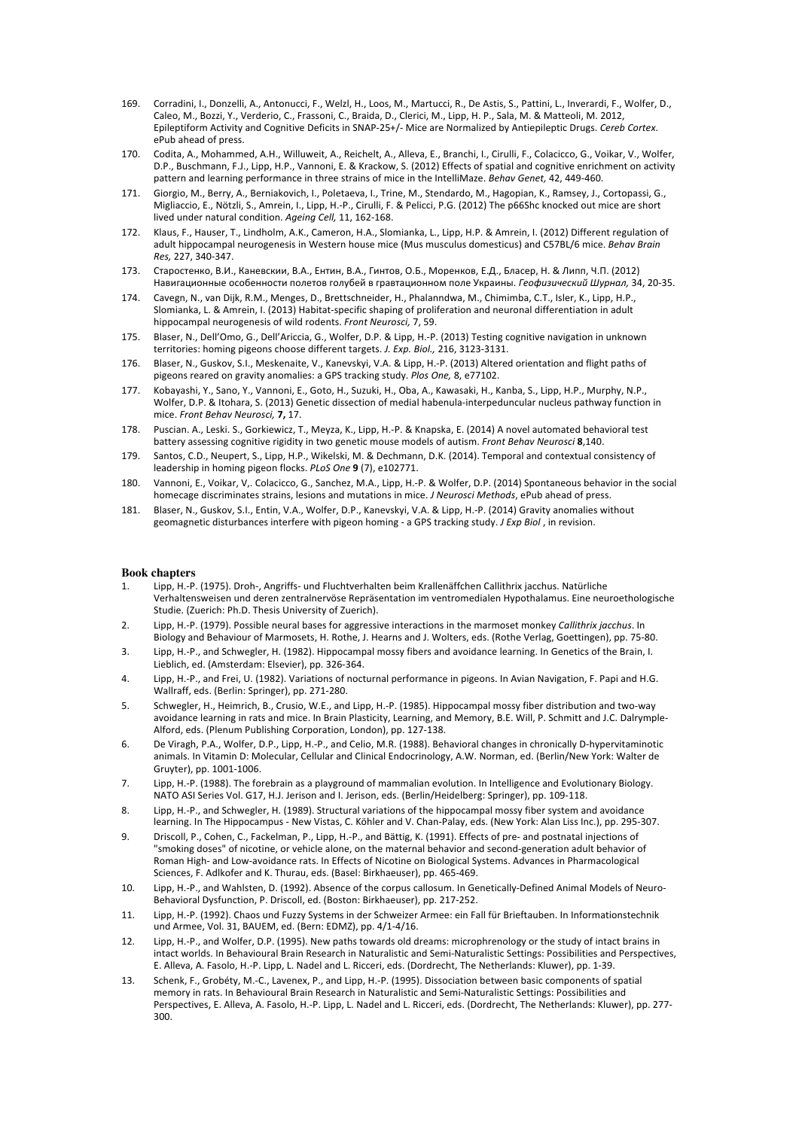- 169. Corradini, J., Donzelli, A., Antonucci, E., Welzl, H., Loos, M., Martucci, R., De Astis, S., Pattini, L., Inverardi, E., Wolfer, D., Caleo, M., Bozzi, Y., Verderio, C., Frassoni, C., Braida, D., Clerici, M., Lipp, H. P., Sala, M. & Matteoli, M. 2012, Epileptiform Activity and Cognitive Deficits in SNAP-25+/- Mice are Normalized by Antiepileptic Drugs. *Cereb Cortex*. ePub ahead of press.
- 170. Codita, A., Mohammed, A.H., Willuweit, A., Reichelt, A., Alleva, E., Branchi, I., Cirulli, F., Colacicco, G., Voikar, V., Wolfer, D.P., Buschmann, F.J., Lipp, H.P., Vannoni, E. & Krackow, S. (2012) Effects of spatial and cognitive enrichment on activity pattern and learning performance in three strains of mice in the IntelliMaze. *Behav Genet*, 42, 449-460.
- 171. Giorgio, M., Berry, A., Berniakovich, I., Poletaeva, I., Trine, M., Stendardo, M., Hagopian, K., Ramsey, J., Cortopassi, G., Migliaccio, E., Nötzli, S., Amrein, I., Lipp, H.-P., Cirulli, F. & Pelicci, P.G. (2012) The p66Shc knocked out mice are short lived under natural condition. Ageing Cell, 11, 162-168.
- 172. Klaus, F., Hauser, T., Lindholm, A.K., Cameron, H.A., Slomianka, L., Lipp, H.P. & Amrein, I. (2012) Different regulation of adult hippocampal neurogenesis in Western house mice (Mus musculus domesticus) and C57BL/6 mice. *Behav Brain Res,* 227, 340-347.
- 173. Старостенко, В.И., Каневскии, В.А., Ентин, В.А., Гинтов, О.Б., Моренков, Е.Д., Бласер, Н. & Липп, Ч.П. (2012) Навигационные особенности полетов голубей в гравтационном поле Украины. *Геофизический Шурнал*, 34, 20-35.
- 174. Cavegn, N., van Dijk, R.M., Menges, D., Brettschneider, H., Phalanndwa, M., Chimimba, C.T., Isler, K., Lipp, H.P., Slomianka, L. & Amrein, I. (2013) Habitat-specific shaping of proliferation and neuronal differentiation in adult hippocampal neurogenesis of wild rodents. *Front Neurosci*, 7, 59.
- 175. Blaser, N., Dell'Omo, G., Dell'Ariccia, G., Wolfer, D.P. & Lipp, H.-P. (2013) Testing cognitive navigation in unknown territories: homing pigeons choose different targets. *J. Exp. Biol.,* 216, 3123-3131.
- 176. Blaser, N., Guskov, S.I., Meskenaite, V., Kanevskyi, V.A. & Lipp, H.-P. (2013) Altered orientation and flight paths of pigeons reared on gravity anomalies: a GPS tracking study. *Plos One*, 8, e77102.
- 177. Kobayashi, Y., Sano, Y., Vannoni, E., Goto, H., Suzuki, H., Oba, A., Kawasaki, H., Kanba, S., Lipp, H.P., Murphy, N.P., Wolfer, D.P. & Itohara, S. (2013) Genetic dissection of medial habenula-interpeduncular nucleus pathway function in mice.#*Front)Behav)Neurosci,* **7,** 17.
- 178. Puscian. A., Leski. S., Gorkiewicz, T., Meyza, K., Lipp, H.-P. & Knapska, E. (2014) A novel automated behavioral test battery assessing cognitive rigidity in two genetic mouse models of autism. *Front Behav Neurosci* 8,140.
- 179. Santos, C.D., Neupert, S., Lipp, H.P., Wikelski, M. & Dechmann, D.K. (2014). Temporal and contextual consistency of leadership in homing pigeon flocks. *PLoS One* 9 (7), e102771.
- 180. Vannoni, E., Voikar, V,. Colacicco, G., Sanchez, M.A., Lipp, H.-P. & Wolfer, D.P. (2014) Spontaneous behavior in the social homecage discriminates strains, lesions and mutations in mice. *J Neurosci Methods*, ePub ahead of press.
- 181. Blaser, N., Guskov, S.I., Entin, V.A., Wolfer, D.P., Kanevskyi, V.A. & Lipp, H.-P. (2014) Gravity anomalies without geomagnetic disturbances interfere with pigeon homing - a GPS tracking study. *J Exp Biol*, in revision.

## **Book chapters**

- Lipp, H.-P. (1975). Droh-, Angriffs- und Fluchtverhalten beim Krallenäffchen Callithrix jacchus. Natürliche Verhaltensweisen und deren zentralnervöse Repräsentation im ventromedialen Hypothalamus. Eine neuroethologische Studie. (Zuerich: Ph.D. Thesis University of Zuerich).
- 2. Lipp, H.-P. (1979). Possible neural bases for aggressive interactions in the marmoset monkey *Callithrix jacchus*. In Biology and Behaviour of Marmosets, H. Rothe, J. Hearns and J. Wolters, eds. (Rothe Verlag, Goettingen), pp. 75-80.
- 3. Lipp, H.-P., and Schwegler, H. (1982). Hippocampal mossy fibers and avoidance learning. In Genetics of the Brain, I. Lieblich, ed. (Amsterdam: Elsevier), pp. 326-364.
- 4. Lipp, H.-P., and Frei, U. (1982). Variations of nocturnal performance in pigeons. In Avian Navigation, F. Papi and H.G. Wallraff, eds. (Berlin: Springer), pp. 271-280.
- 5. Schwegler, H., Heimrich, B., Crusio, W.E., and Lipp, H.-P. (1985). Hippocampal mossy fiber distribution and two-way avoidance learning in rats and mice. In Brain Plasticity, Learning, and Memory, B.E. Will, P. Schmitt and J.C. Dalrymple-Alford, eds. (Plenum Publishing Corporation, London), pp. 127-138.
- 6. De Viragh, P.A., Wolfer, D.P., Lipp, H.-P., and Celio, M.R. (1988). Behavioral changes in chronically D-hypervitaminotic animals. In Vitamin D: Molecular, Cellular and Clinical Endocrinology, A.W. Norman, ed. (Berlin/New York: Walter de Gruyter), pp. 1001-1006.
- 7. Lipp, H.-P. (1988). The forebrain as a playground of mammalian evolution. In Intelligence and Evolutionary Biology. NATO ASI Series Vol. G17, H.J. Jerison and I. Jerison, eds. (Berlin/Heidelberg: Springer), pp. 109-118.
- 8. Lipp, H.-P., and Schwegler, H. (1989). Structural variations of the hippocampal mossy fiber system and avoidance learning. In The Hippocampus - New Vistas, C. Köhler and V. Chan-Palay, eds. (New York: Alan Liss Inc.), pp. 295-307.
- 9. Driscoll, P., Cohen, C., Fackelman, P., Lipp, H.-P., and Bättig, K. (1991). Effects of pre- and postnatal injections of "smoking doses" of nicotine, or vehicle alone, on the maternal behavior and second-generation adult behavior of Roman High- and Low-avoidance rats. In Effects of Nicotine on Biological Systems. Advances in Pharmacological Sciences, F. Adlkofer and K. Thurau, eds. (Basel: Birkhaeuser), pp. 465-469.
- 10. Lipp, H.-P., and Wahlsten, D. (1992). Absence of the corpus callosum. In Genetically-Defined Animal Models of Neuro-Behavioral Dysfunction, P. Driscoll, ed. (Boston: Birkhaeuser), pp. 217-252.
- 11. Lipp, H.-P. (1992). Chaos und Fuzzy Systems in der Schweizer Armee: ein Fall für Brieftauben. In Informationstechnik und Armee, Vol. 31, BAUEM, ed. (Bern: EDMZ), pp. 4/1-4/16.
- 12. Lipp, H.-P., and Wolfer, D.P. (1995). New paths towards old dreams: microphrenology or the study of intact brains in intact worlds. In Behavioural Brain Research in Naturalistic and Semi-Naturalistic Settings: Possibilities and Perspectives, E. Alleva, A. Fasolo, H.-P. Lipp, L. Nadel and L. Ricceri, eds. (Dordrecht, The Netherlands: Kluwer), pp. 1-39.
- 13. Schenk, F., Grobéty, M.-C., Lavenex, P., and Lipp, H.-P. (1995). Dissociation between basic components of spatial memory in rats. In Behavioural Brain Research in Naturalistic and Semi-Naturalistic Settings: Possibilities and Perspectives, E. Alleva, A. Fasolo, H.-P. Lipp, L. Nadel and L. Ricceri, eds. (Dordrecht, The Netherlands: Kluwer), pp. 277-300.